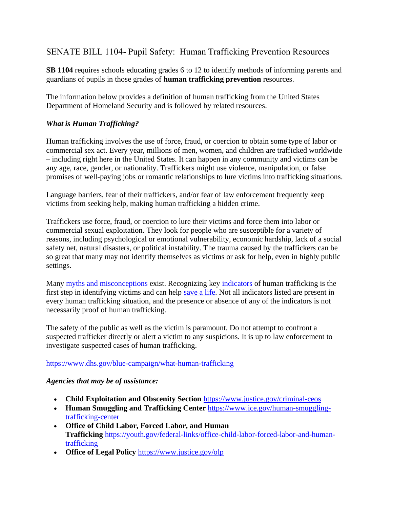# SENATE BILL 1104- Pupil Safety: Human Trafficking Prevention Resources

**SB 1104** requires schools educating grades 6 to 12 to identify methods of informing parents and guardians of pupils in those grades of **human trafficking prevention** resources.

The information below provides a definition of human trafficking from the United States Department of Homeland Security and is followed by related resources.

### *What is Human Trafficking?*

Human trafficking involves the use of force, fraud, or coercion to obtain some type of labor or commercial sex act. Every year, millions of men, women, and children are trafficked worldwide – including right here in the United States. It can happen in any community and victims can be any age, race, gender, or nationality. Traffickers might use violence, manipulation, or false promises of well-paying jobs or romantic relationships to lure victims into trafficking situations.

Language barriers, fear of their traffickers, and/or fear of law enforcement frequently keep victims from seeking help, making human trafficking a hidden crime.

Traffickers use force, fraud, or coercion to lure their victims and force them into labor or commercial sexual exploitation. They look for people who are susceptible for a variety of reasons, including psychological or emotional vulnerability, economic hardship, lack of a social safety net, natural disasters, or political instability. The trauma caused by the traffickers can be so great that many may not identify themselves as victims or ask for help, even in highly public settings.

Many [myths and misconceptions](https://www.dhs.gov/blue-campaign/myths-and-misconceptions) exist. Recognizing key [indicators](https://www.dhs.gov/blue-campaign/indicators-human-trafficking) of human trafficking is the first step in identifying victims and can help [save a life.](https://www.dhs.gov/blue-campaign/human-interest-stories) Not all indicators listed are present in every human trafficking situation, and the presence or absence of any of the indicators is not necessarily proof of human trafficking.

The safety of the public as well as the victim is paramount. Do not attempt to confront a suspected trafficker directly or alert a victim to any suspicions. It is up to law enforcement to investigate suspected cases of human trafficking.

<https://www.dhs.gov/blue-campaign/what-human-trafficking>

#### *Agencies that may be of assistance:*

- **Child Exploitation and Obscenity Section** <https://www.justice.gov/criminal-ceos>
- **Human Smuggling and Trafficking Center** [https://www.ice.gov/human-smuggling](https://www.ice.gov/human-smuggling-trafficking-center)[trafficking-center](https://www.ice.gov/human-smuggling-trafficking-center)
- **Office of Child Labor, Forced Labor, and Human Trafficking** [https://youth.gov/federal-links/office-child-labor-forced-labor-and-human](https://youth.gov/federal-links/office-child-labor-forced-labor-and-human-trafficking)[trafficking](https://youth.gov/federal-links/office-child-labor-forced-labor-and-human-trafficking)
- **Office of Legal Policy** <https://www.justice.gov/olp>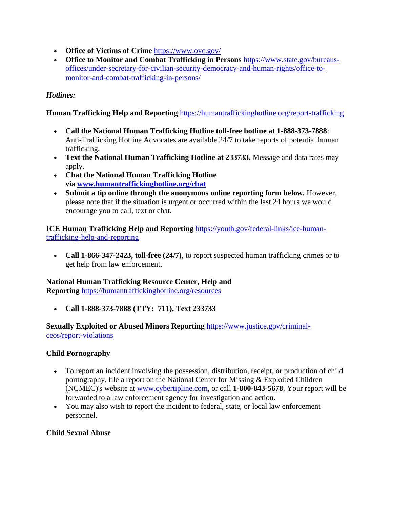- **Office of Victims of Crime** <https://www.ovc.gov/>
- **Office to Monitor and Combat Trafficking in Persons** [https://www.state.gov/bureaus](https://www.state.gov/bureaus-offices/under-secretary-for-civilian-security-democracy-and-human-rights/office-to-monitor-and-combat-trafficking-in-persons/)[offices/under-secretary-for-civilian-security-democracy-and-human-rights/office-to](https://www.state.gov/bureaus-offices/under-secretary-for-civilian-security-democracy-and-human-rights/office-to-monitor-and-combat-trafficking-in-persons/)[monitor-and-combat-trafficking-in-persons/](https://www.state.gov/bureaus-offices/under-secretary-for-civilian-security-democracy-and-human-rights/office-to-monitor-and-combat-trafficking-in-persons/)

### *Hotlines:*

#### **Human Trafficking Help and Reporting** <https://humantraffickinghotline.org/report-trafficking>

- **Call the National Human Trafficking Hotline toll-free hotline at 1-888-373-7888**: Anti-Trafficking Hotline Advocates are available 24/7 to take reports of potential human trafficking.
- **Text the National Human Trafficking Hotline at 233733.** Message and data rates may apply.
- **Chat the National Human Trafficking Hotline via [www.humantraffickinghotline.org/chat](http://www.humantraffickinghotline.org/chat)**
- **Submit a tip online through the anonymous online reporting form below.** However, please note that if the situation is urgent or occurred within the last 24 hours we would encourage you to call, text or chat.

**ICE Human Trafficking Help and Reporting** [https://youth.gov/federal-links/ice-human](https://youth.gov/federal-links/ice-human-trafficking-help-and-reporting)[trafficking-help-and-reporting](https://youth.gov/federal-links/ice-human-trafficking-help-and-reporting)

• **Call 1-866-347-2423, toll-free (24/7)**, to report suspected human trafficking crimes or to get help from law enforcement.

#### **National Human Trafficking Resource Center, Help and**

**Reporting** <https://humantraffickinghotline.org/resources>

• **Call 1-888-373-7888 (TTY: 711), Text 233733**

#### **Sexually Exploited or Abused Minors Reporting** [https://www.justice.gov/criminal](https://www.justice.gov/criminal-ceos/report-violations)[ceos/report-violations](https://www.justice.gov/criminal-ceos/report-violations)

#### **Child Pornography**

- To report an incident involving the possession, distribution, receipt, or production of child pornography, file a report on the National Center for Missing & Exploited Children (NCMEC)'s website at [www.cybertipline.com,](http://www.cybertipline.com/) or call **1-800-843-5678**. Your report will be forwarded to a law enforcement agency for investigation and action.
- You may also wish to report the incident to federal, state, or local law enforcement personnel.

#### **Child Sexual Abuse**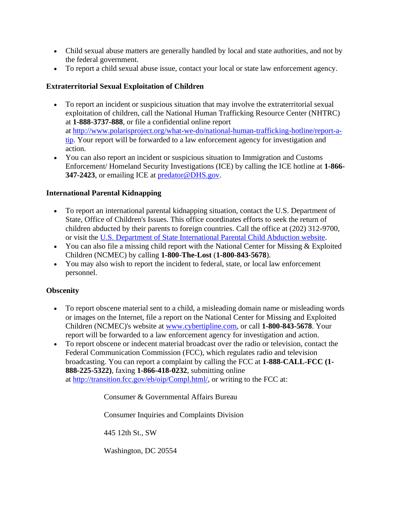- Child sexual abuse matters are generally handled by local and state authorities, and not by the federal government.
- To report a child sexual abuse issue, contact your local or state law enforcement agency.

# **Extraterritorial Sexual Exploitation of Children**

- To report an incident or suspicious situation that may involve the extraterritorial sexual exploitation of children, call the National Human Trafficking Resource Center (NHTRC) at **1-888-3737-888**, or file a confidential online report at [http://www.polarisproject.org/what-we-do/national-human-trafficking-hotline/report-a](http://www.polarisproject.o/)[tip.](http://www.polarisproject.o/) Your report will be forwarded to a law enforcement agency for investigation and action.
- You can also report an incident or suspicious situation to Immigration and Customs Enforcement/ Homeland Security Investigations (ICE) by calling the ICE hotline at **1-866- 347-2423**, or emailing ICE at [predator@DHS.gov.](mailto:predator@DHS.gov)

# **International Parental Kidnapping**

- To report an international parental kidnapping situation, contact the U.S. Department of State, Office of Children's Issues. This office coordinates efforts to seek the return of children abducted by their parents to foreign countries. Call the office at (202) 312-9700, or visit the [U.S. Department of State International Parental Child Abduction website.](https://travel.state.gov/content/travel/en/International-Parental-Child-Abduction.html%22%20%5Ct%20%22_blank)
- You can also file a missing child report with the National Center for Missing & Exploited Children (NCMEC) by calling **1-800-The-Lost** (**1-800-843-5678**).
- You may also wish to report the incident to federal, state, or local law enforcement personnel.

# **Obscenity**

- To report obscene material sent to a child, a misleading domain name or misleading words or images on the Internet, file a report on the National Center for Missing and Exploited Children (NCMEC)'s website at [www.cybertipline.com,](http://www.cybertipline.com/) or call **1-800-843-5678**. Your report will be forwarded to a law enforcement agency for investigation and action.
- To report obscene or indecent material broadcast over the radio or television, contact the Federal Communication Commission (FCC), which regulates radio and television broadcasting. You can report a complaint by calling the FCC at **1-888-CALL-FCC (1- 888-225-5322)**, faxing **1-866-418-0232**, submitting online at [http://transition.fcc.gov/eb/oip/Compl.html/,](http://transition.fcc.gov/eb/oip/Compl.html/) or writing to the FCC at:

Consumer & Governmental Affairs Bureau

Consumer Inquiries and Complaints Division

445 12th St., SW

Washington, DC 20554